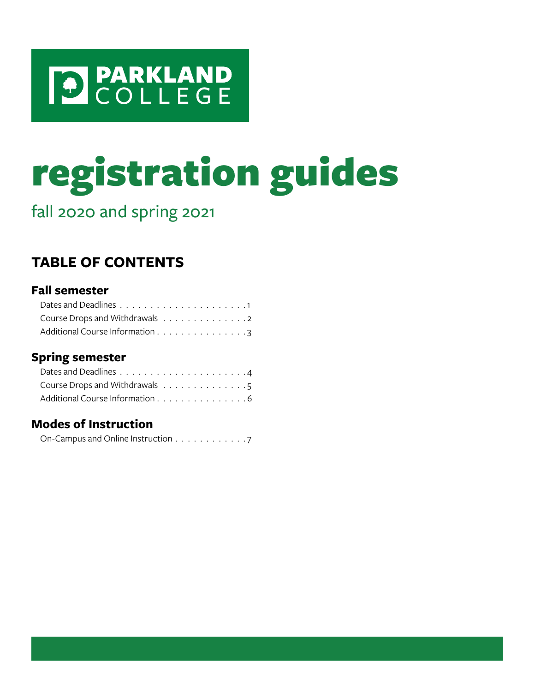

# registration guides

fall 2020 and spring 2021

## **TABLE OF CONTENTS**

## **Fall semester**

| Course Drops and Withdrawals 2  |  |  |  |  |  |  |  |
|---------------------------------|--|--|--|--|--|--|--|
| Additional Course Information 3 |  |  |  |  |  |  |  |

## **Spring semester**

| Course Drops and Withdrawals 5  |  |  |  |  |  |  |  |
|---------------------------------|--|--|--|--|--|--|--|
| Additional Course Information 6 |  |  |  |  |  |  |  |

## **Modes of Instruction**

| On-Campus and Online Instruction 7 |  |  |  |  |  |  |  |
|------------------------------------|--|--|--|--|--|--|--|
|                                    |  |  |  |  |  |  |  |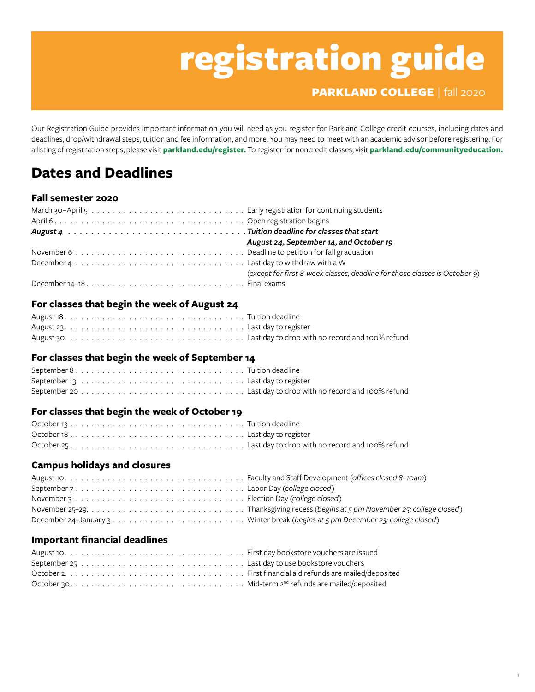## registration guide

PARKLAND COLLEGE | fall 2020

**1**

Our Registration Guide provides important information you will need as you register for Parkland College credit courses, including dates and deadlines, drop/withdrawal steps, tuition and fee information, and more. You may need to meet with an academic advisor before registering. For a listing of registration steps, please visit **[parkland.edu/register](http://parkland.edu/register).** To register for noncredit classes, visit **[parkland.edu/communityeducation](http://parkland.edu/communityeducation).**

## <span id="page-1-0"></span>**Dates and Deadlines**

## **Fall semester 2020**

| August 24, September 14, and October 19                                    |
|----------------------------------------------------------------------------|
|                                                                            |
|                                                                            |
| (except for first 8-week classes; deadline for those classes is October 9) |
|                                                                            |

#### **For classes that begin the week of August 24**

## **For classes that begin the week of September 14**

## **For classes that begin the week of October 19**

## **Campus holidays and closures**

## **Important financial deadlines**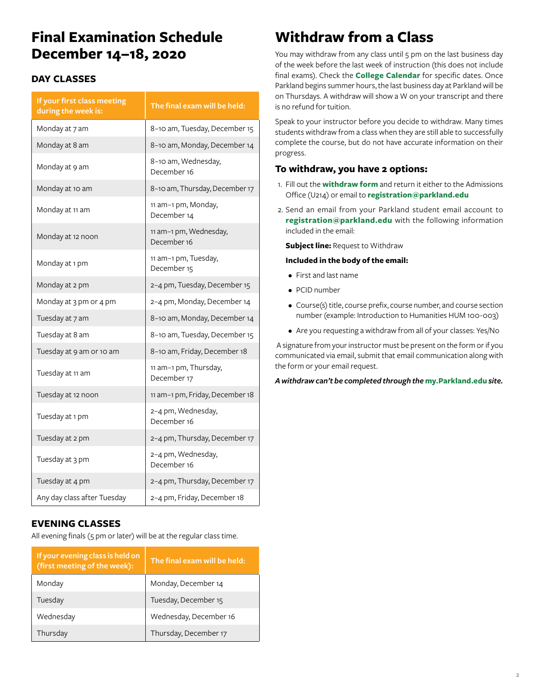## **Final Examination Schedule December 14–18, 2020**

## **DAY CLASSES**

| If your first class meeting<br>during the week is: | The final exam will be held:          |
|----------------------------------------------------|---------------------------------------|
| Monday at 7 am                                     | 8-10 am, Tuesday, December 15         |
| Monday at 8 am                                     | 8-10 am, Monday, December 14          |
| Monday at 9 am                                     | 8-10 am, Wednesday,<br>December 16    |
| Monday at 10 am                                    | 8-10 am, Thursday, December 17        |
| Monday at 11 am                                    | 11 am-1 pm, Monday,<br>December 14    |
| Monday at 12 noon                                  | 11 am-1 pm, Wednesday,<br>December 16 |
| Monday at 1 pm                                     | 11 am-1 pm, Tuesday,<br>December 15   |
| Monday at 2 pm                                     | 2-4 pm, Tuesday, December 15          |
| Monday at 3 pm or 4 pm                             | 2-4 pm, Monday, December 14           |
| Tuesday at 7 am                                    | 8-10 am, Monday, December 14          |
| Tuesday at 8 am                                    | 8-10 am, Tuesday, December 15         |
| Tuesday at 9 am or 10 am                           | 8-10 am, Friday, December 18          |
| Tuesday at 11 am                                   | 11 am-1 pm, Thursday,<br>December 17  |
| Tuesday at 12 noon                                 | 11 am-1 pm, Friday, December 18       |
| Tuesday at 1 pm                                    | 2-4 pm, Wednesday,<br>December 16     |
| Tuesday at 2 pm                                    | 2-4 pm, Thursday, December 17         |
| Tuesday at 3 pm                                    | 2-4 pm, Wednesday,<br>December 16     |
| Tuesday at 4 pm                                    | 2-4 pm, Thursday, December 17         |
| Any day class after Tuesday                        | 2-4 pm, Friday, December 18           |

## **EVENING CLASSES**

All evening finals (5 pm or later) will be at the regular class time.

| If your evening class is held on<br>(first meeting of the week): | The final exam will be held: |
|------------------------------------------------------------------|------------------------------|
| Monday                                                           | Monday, December 14          |
| Tuesday                                                          | Tuesday, December 15         |
| Wednesday                                                        | Wednesday, December 16       |
| Thursday                                                         | Thursday, December 17        |

## **Withdraw from a Class**

You may withdraw from any class until 5 pm on the last business day of the week before the last week of instruction (this does not include final exams). Check the **[College Calendar](https://www.parkland.edu/Main/Academics/Academic-Resources/College-Calendar)** for specific dates. Once Parkland begins summer hours, the last business day at Parkland will be on Thursdays. A withdraw will show a W on your transcript and there is no refund for tuition.

Speak to your instructor before you decide to withdraw. Many times students withdraw from a class when they are still able to successfully complete the course, but do not have accurate information on their progress.

### **To withdraw, you have 2 options:**

- 1. Fill out the **[withdraw form](https://www.parkland.edu/Portals/3/Admissions/Documents/Withdraw%20form%20sept%202020.pdf?ver=2020-09-10-121759-113×tamp=1599831272983)** and return it either to the Admissions Office (U214) or email to **[registration@parkland.edu](mailto:registration%40parkland.edu?subject=)**
- 2. Send an email from your Parkland student email account to **[registration@parkland.edu](mailto:registration%40parkland.edu?subject=Request%20to%20Withdraw)** with the following information included in the email:

**Subject line:** Request to Withdraw

#### **Included in the body of the email:**

- First and last name
- PCID number
- Course(s) title, course prefix, course number, and course section number (example: Introduction to Humanities HUM 100-003)
- Are you requesting a withdraw from all of your classes: Yes/No

 A signature from your instructor must be present on the form or if you communicated via email, submit that email communication along with the form or your email request.

*A withdraw can't be completed through the* **[my.Parkland.edu](http://my.parkland.edu)** *site.*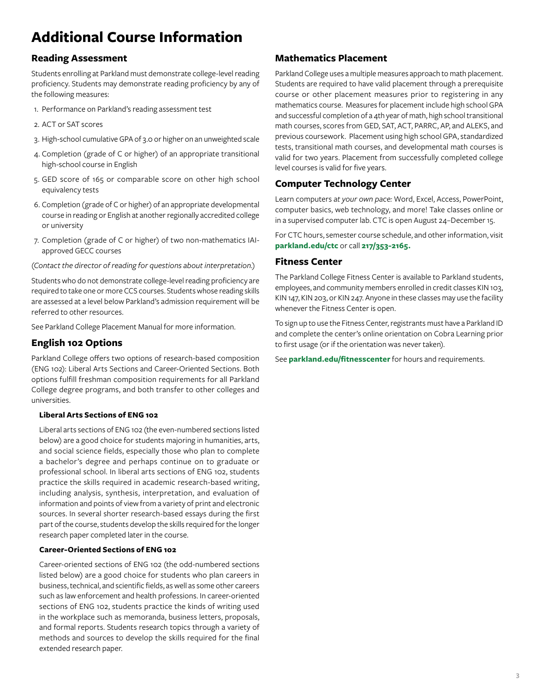## <span id="page-3-0"></span>**Additional Course Information**

## **Reading Assessment**

Students enrolling at Parkland must demonstrate college-level reading proficiency. Students may demonstrate reading proficiency by any of the following measures:

- 1. Performance on Parkland's reading assessment test
- 2. ACT or SAT scores
- 3. High-school cumulative GPA of 3.0 or higher on an unweighted scale
- 4. Completion (grade of C or higher) of an appropriate transitional high-school course in English
- 5. GED score of 165 or comparable score on other high school equivalency tests
- 6. Completion (grade of C or higher) of an appropriate developmental course in reading or English at another regionally accredited college or university
- 7. Completion (grade of C or higher) of two non-mathematics IAIapproved GECC courses

*(Contact the director of reading for questions about interpretation.)* 

Students who do not demonstrate college-level reading proficiency are required to take one or more CCS courses. Students whose reading skills are assessed at a level below Parkland's admission requirement will be referred to other resources.

See Parkland College Placement Manual for more information.

## **English 102 Options**

Parkland College offers two options of research-based composition (ENG 102): Liberal Arts Sections and Career-Oriented Sections. Both options fulfill freshman composition requirements for all Parkland College degree programs, and both transfer to other colleges and universities.

#### **Liberal Arts Sections of ENG 102**

Liberal arts sections of ENG 102 (the even-numbered sections listed below) are a good choice for students majoring in humanities, arts, and social science fields, especially those who plan to complete a bachelor's degree and perhaps continue on to graduate or professional school. In liberal arts sections of ENG 102, students practice the skills required in academic research-based writing, including analysis, synthesis, interpretation, and evaluation of information and points of view from a variety of print and electronic sources. In several shorter research-based essays during the first part of the course, students develop the skills required for the longer research paper completed later in the course.

#### **Career-Oriented Sections of ENG 102**

Career-oriented sections of ENG 102 (the odd-numbered sections listed below) are a good choice for students who plan careers in business, technical, and scientific fields, as well as some other careers such as law enforcement and health professions. In career-oriented sections of ENG 102, students practice the kinds of writing used in the workplace such as memoranda, business letters, proposals, and formal reports. Students research topics through a variety of methods and sources to develop the skills required for the final extended research paper.

## **Mathematics Placement**

Parkland College uses a multiple measures approach to math placement.  Students are required to have valid placement through a prerequisite course or other placement measures prior to registering in any mathematics course.  Measures for placement include high school GPA and successful completion of a 4th year of math, high school transitional math courses, scores from GED, SAT, ACT, PARRC, AP, and ALEKS, and previous coursework.  Placement using high school GPA, standardized tests, transitional math courses, and developmental math courses is valid for two years. Placement from successfully completed college level courses is valid for five years. 

## **Computer Technology Center**

Learn computers *at your own pace:* Word, Excel, Access, PowerPoint, computer basics, web technology, and more! Take classes online or in a supervised computer lab. CTC is open August 24–December 15.

For CTC hours, semester course schedule, and other information, visit **[parkland.edu/ctc](http://parkland.edu/ctc)** or call **217/353-2165.**

#### **Fitness Center**

The Parkland College Fitness Center is available to Parkland students, employees, and community members enrolled in credit classes KIN 103, KIN 147, KIN 203, or KIN 247. Anyone in these classes may use the facility whenever the Fitness Center is open.

To sign up to use the Fitness Center, registrants must have a Parkland ID and complete the center's online orientation on Cobra Learning prior to first usage (or if the orientation was never taken).

See **[parkland.edu/fitnesscenter](http://parkland.edu/fitnesscenter)** for hours and requirements.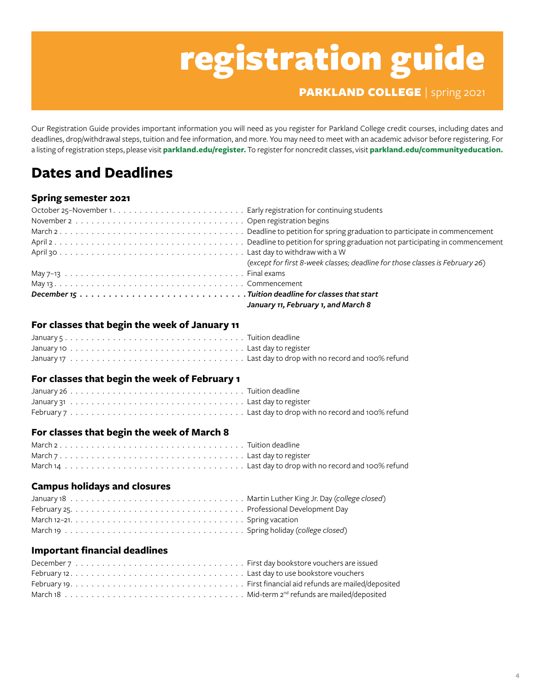## registration guide

PARKLAND COLLEGE | spring 2021

Our Registration Guide provides important information you will need as you register for Parkland College credit courses, including dates and deadlines, drop/withdrawal steps, tuition and fee information, and more. You may need to meet with an academic advisor before registering. For a listing of registration steps, please visit **[parkland.edu/register](http://parkland.edu/register).** To register for noncredit classes, visit **[parkland.edu/communityeducation](http://parkland.edu/communityeducation).**

## <span id="page-4-0"></span>**Dates and Deadlines**

## **Spring semester 2021**

| (except for first 8-week classes; deadline for those classes is February 26) |
|------------------------------------------------------------------------------|
|                                                                              |
|                                                                              |
|                                                                              |
| January 11, February 1, and March 8                                          |

## **For classes that begin the week of January 11**

## **For classes that begin the week of February 1**

## **For classes that begin the week of March 8**

## **Campus holidays and closures**

## **Important financial deadlines**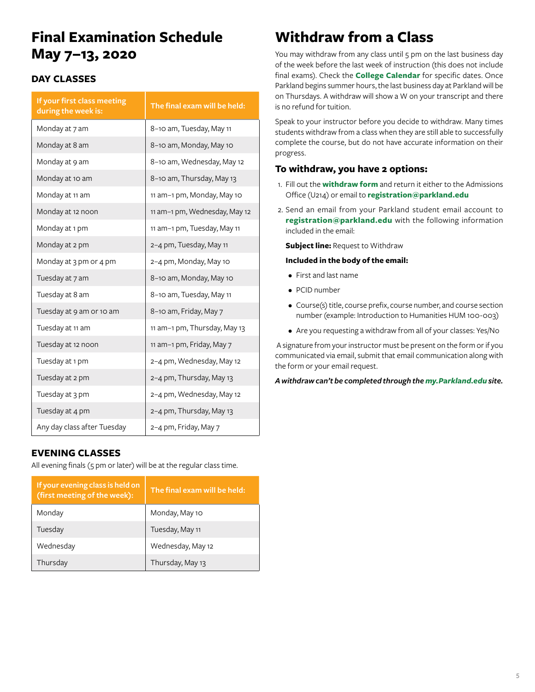## **Final Examination Schedule May 7–13, 2020**

## **DAY CLASSES**

| If your first class meeting<br>during the week is: | The final exam will be held:  |
|----------------------------------------------------|-------------------------------|
| Monday at 7 am                                     | 8-10 am, Tuesday, May 11      |
| Monday at 8 am                                     | 8-10 am, Monday, May 10       |
| Monday at 9 am                                     | 8-10 am, Wednesday, May 12    |
| Monday at 10 am                                    | 8-10 am, Thursday, May 13     |
| Monday at 11 am                                    | 11 am-1 pm, Monday, May 10    |
| Monday at 12 noon                                  | 11 am-1 pm, Wednesday, May 12 |
| Monday at 1 pm                                     | 11 am-1 pm, Tuesday, May 11   |
| Monday at 2 pm                                     | 2-4 pm, Tuesday, May 11       |
| Monday at 3 pm or 4 pm                             | 2-4 pm, Monday, May 10        |
| Tuesday at 7 am                                    | 8-10 am, Monday, May 10       |
| Tuesday at 8 am                                    | 8-10 am, Tuesday, May 11      |
| Tuesday at 9 am or 10 am                           | 8-10 am, Friday, May 7        |
| Tuesday at 11 am                                   | 11 am-1 pm, Thursday, May 13  |
| Tuesday at 12 noon                                 | 11 am-1 pm, Friday, May 7     |
| Tuesday at 1 pm                                    | 2-4 pm, Wednesday, May 12     |
| Tuesday at 2 pm                                    | 2-4 pm, Thursday, May 13      |
| Tuesday at 3 pm                                    | 2-4 pm, Wednesday, May 12     |
| Tuesday at 4 pm                                    | 2-4 pm, Thursday, May 13      |
| Any day class after Tuesday                        | 2–4 pm, Friday, May 7         |

## **EVENING CLASSES**

All evening finals (5 pm or later) will be at the regular class time.

| If your evening class is held on<br>(first meeting of the week): | The final exam will be held: |
|------------------------------------------------------------------|------------------------------|
| Monday                                                           | Monday, May 10               |
| Tuesday                                                          | Tuesday, May 11              |
| Wednesday                                                        | Wednesday, May 12            |
| Thursday                                                         | Thursday, May 13             |

## <span id="page-5-0"></span>**Withdraw from a Class**

You may withdraw from any class until 5 pm on the last business day of the week before the last week of instruction (this does not include final exams). Check the **[College Calendar](https://www.parkland.edu/Main/Academics/Academic-Resources/College-Calendar)** for specific dates. Once Parkland begins summer hours, the last business day at Parkland will be on Thursdays. A withdraw will show a W on your transcript and there is no refund for tuition.

Speak to your instructor before you decide to withdraw. Many times students withdraw from a class when they are still able to successfully complete the course, but do not have accurate information on their progress.

### **To withdraw, you have 2 options:**

- 1. Fill out the **[withdraw form](https://www.parkland.edu/Portals/3/Admissions/Documents/Withdraw%20form%20sept%202020.pdf?ver=2020-09-10-121759-113×tamp=1599831272983)** and return it either to the Admissions Office (U214) or email to **[registration@parkland.edu](mailto:registration%40parkland.edu?subject=)**
- 2. Send an email from your Parkland student email account to **[registration@parkland.edu](mailto:registration%40parkland.edu?subject=Request%20to%20Withdraw)** with the following information included in the email:

**Subject line:** Request to Withdraw

#### **Included in the body of the email:**

- First and last name
- PCID number
- Course(s) title, course prefix, course number, and course section number (example: Introduction to Humanities HUM 100-003)
- Are you requesting a withdraw from all of your classes: Yes/No

 A signature from your instructor must be present on the form or if you communicated via email, submit that email communication along with the form or your email request.

*A withdraw can't be completed through the [my.Parkland.edu](http://my.parkland.edu) site.*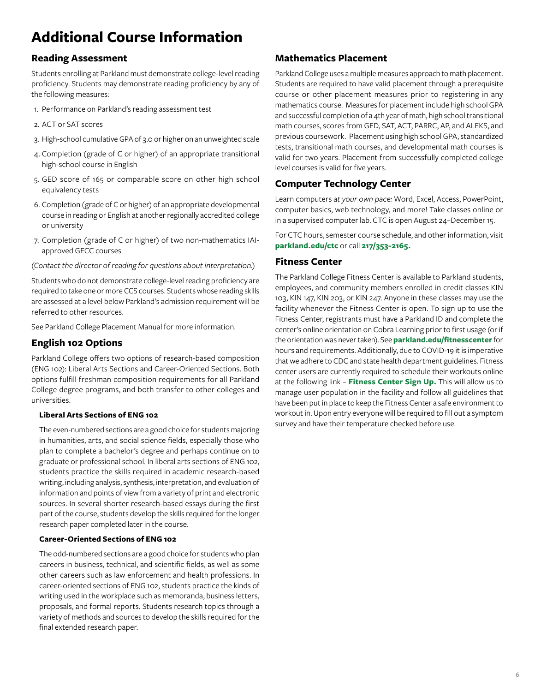## <span id="page-6-0"></span>**Additional Course Information**

## **Reading Assessment**

Students enrolling at Parkland must demonstrate college-level reading proficiency. Students may demonstrate reading proficiency by any of the following measures:

- 1. Performance on Parkland's reading assessment test
- 2. ACT or SAT scores
- 3. High-school cumulative GPA of 3.0 or higher on an unweighted scale
- 4. Completion (grade of C or higher) of an appropriate transitional high-school course in English
- 5. GED score of 165 or comparable score on other high school equivalency tests
- 6. Completion (grade of C or higher) of an appropriate developmental course in reading or English at another regionally accredited college or university
- 7. Completion (grade of C or higher) of two non-mathematics IAIapproved GECC courses

*(Contact the director of reading for questions about interpretation.)* 

Students who do not demonstrate college-level reading proficiency are required to take one or more CCS courses. Students whose reading skills are assessed at a level below Parkland's admission requirement will be referred to other resources.

See Parkland College Placement Manual for more information.

### **English 102 Options**

Parkland College offers two options of research-based composition (ENG 102): Liberal Arts Sections and Career-Oriented Sections. Both options fulfill freshman composition requirements for all Parkland College degree programs, and both transfer to other colleges and universities.

#### **Liberal Arts Sections of ENG 102**

The even-numbered sections are a good choice for students majoring in humanities, arts, and social science fields, especially those who plan to complete a bachelor's degree and perhaps continue on to graduate or professional school. In liberal arts sections of ENG 102, students practice the skills required in academic research-based writing, including analysis, synthesis, interpretation, and evaluation of information and points of view from a variety of print and electronic sources. In several shorter research-based essays during the first part of the course, students develop the skills required for the longer research paper completed later in the course.

#### **Career-Oriented Sections of ENG 102**

The odd-numbered sections are a good choice for students who plan careers in business, technical, and scientific fields, as well as some other careers such as law enforcement and health professions. In career-oriented sections of ENG 102, students practice the kinds of writing used in the workplace such as memoranda, business letters, proposals, and formal reports. Students research topics through a variety of methods and sources to develop the skills required for the final extended research paper.

## **Mathematics Placement**

Parkland College uses a multiple measures approach to math placement.  Students are required to have valid placement through a prerequisite course or other placement measures prior to registering in any mathematics course.  Measures for placement include high school GPA and successful completion of a 4th year of math, high school transitional math courses, scores from GED, SAT, ACT, PARRC, AP, and ALEKS, and previous coursework.  Placement using high school GPA, standardized tests, transitional math courses, and developmental math courses is valid for two years. Placement from successfully completed college level courses is valid for five years. 

## **Computer Technology Center**

Learn computers *at your own pace:* Word, Excel, Access, PowerPoint, computer basics, web technology, and more! Take classes online or in a supervised computer lab. CTC is open August 24–December 15.

For CTC hours, semester course schedule, and other information, visit **[parkland.edu/ctc](http://parkland.edu/ctc)** or call **217/353-2165.**

#### **Fitness Center**

The Parkland College Fitness Center is available to Parkland students, employees, and community members enrolled in credit classes KIN 103, KIN 147, KIN 203, or KIN 247. Anyone in these classes may use the facility whenever the Fitness Center is open. To sign up to use the Fitness Center, registrants must have a Parkland ID and complete the center's online orientation on Cobra Learning prior to first usage (or if the orientation was never taken). See **[parkland.edu/fitnesscenter](http://parkland.edu/fitnesscenter)** for hours and requirements. Additionally, due to COVID-19 it is imperative that we adhere to CDC and state health department guidelines. Fitness center users are currently required to schedule their workouts online at the following link – **[Fitness Center Sign Up.](https://docs.google.com/spreadsheets/d/1OB3Y_vw3VCB3TZFgphvmtds5b076dKIXkonw4GIoVrc/edit#gid=226463545)** This will allow us to manage user population in the facility and follow all guidelines that have been put in place to keep the Fitness Center a safe environment to workout in. Upon entry everyone will be required to fill out a symptom survey and have their temperature checked before use.